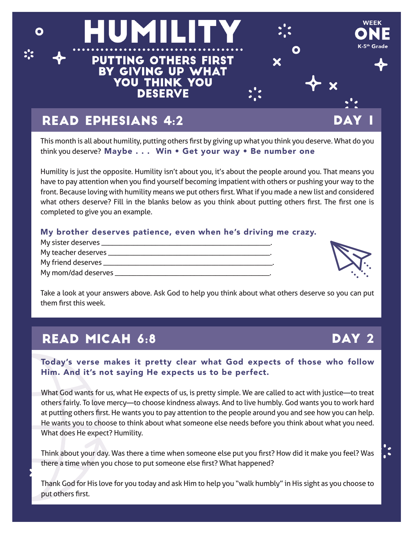

This month is all about humility, putting others first by giving up what you think you deserve. What do you think you deserve? Maybe . . . Win • Get your way • Be number one

Humility is just the opposite. Humility isn't about you, it's about the people around you. That means you have to pay attention when you find yourself becoming impatient with others or pushing your way to the front. Because loving with humility means we put others first. What if you made a new list and considered what others deserve? Fill in the blanks below as you think about putting others first. The first one is completed to give you an example.

#### My brother deserves patience, even when he's driving me crazy.

| My teacher deserves ______ |  |
|----------------------------|--|
| My friend deserves ______  |  |
| My mom/dad deserves        |  |



 $\ddot{\cdot}$ 

Take a look at your answers above. Ask God to help you think about what others deserve so you can put them first this week.

## READ MICAH 6:8 DAY 2

Today's verse makes it pretty clear what God expects of those who follow Him. And it's not saying He expects us to be perfect.

What God wants for us, what He expects of us, is pretty simple. We are called to act with justice—to treat others fairly. To love mercy—to choose kindness always. And to live humbly. God wants you to work hard at putting others first. He wants you to pay attention to the people around you and see how you can help. He wants you to choose to think about what someone else needs before you think about what you need. What does He expect? Humility.

Think about your day. Was there a time when someone else put you first? How did it make you feel? Was there a time when you chose to put someone else first? What happened?

Thank God for His love for you today and ask Him to help you "walk humbly" in His sight as you choose to put others first.